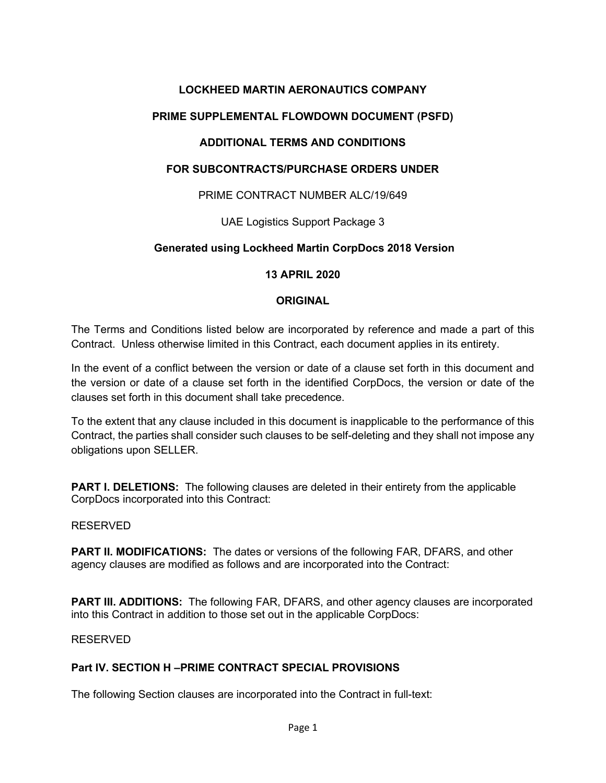# **LOCKHEED MARTIN AERONAUTICS COMPANY**

# **PRIME SUPPLEMENTAL FLOWDOWN DOCUMENT (PSFD)**

# **ADDITIONAL TERMS AND CONDITIONS**

### **FOR SUBCONTRACTS/PURCHASE ORDERS UNDER**

### PRIME CONTRACT NUMBER ALC/19/649

UAE Logistics Support Package 3

# **Generated using Lockheed Martin CorpDocs 2018 Version**

### **13 APRIL 2020**

#### **ORIGINAL**

The Terms and Conditions listed below are incorporated by reference and made a part of this Contract. Unless otherwise limited in this Contract, each document applies in its entirety.

In the event of a conflict between the version or date of a clause set forth in this document and the version or date of a clause set forth in the identified CorpDocs, the version or date of the clauses set forth in this document shall take precedence.

To the extent that any clause included in this document is inapplicable to the performance of this Contract, the parties shall consider such clauses to be self-deleting and they shall not impose any obligations upon SELLER.

**PART I. DELETIONS:** The following clauses are deleted in their entirety from the applicable CorpDocs incorporated into this Contract:

#### RESERVED

**PART II. MODIFICATIONS:** The dates or versions of the following FAR, DFARS, and other agency clauses are modified as follows and are incorporated into the Contract:

**PART III. ADDITIONS:** The following FAR, DFARS, and other agency clauses are incorporated into this Contract in addition to those set out in the applicable CorpDocs:

RESERVED

#### **Part IV. SECTION H –PRIME CONTRACT SPECIAL PROVISIONS**

The following Section clauses are incorporated into the Contract in full-text: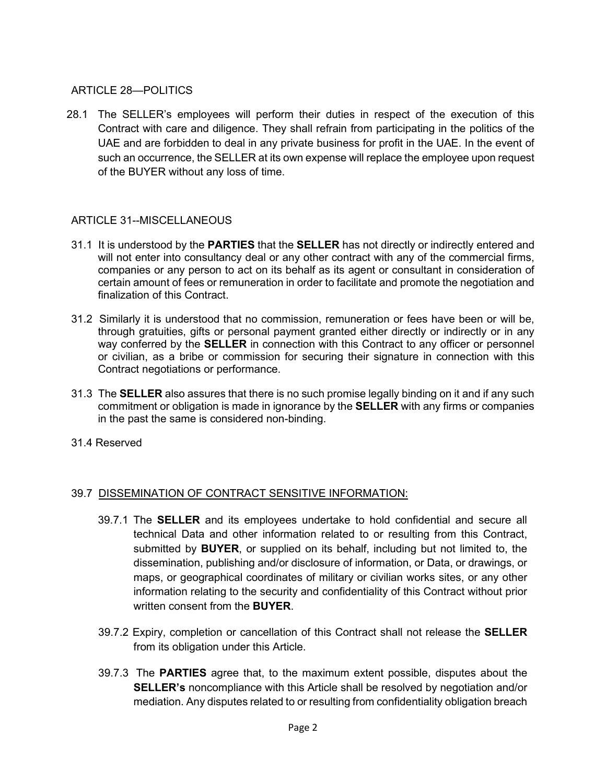### ARTICLE 28—POLITICS

28.1 The SELLER's employees will perform their duties in respect of the execution of this Contract with care and diligence. They shall refrain from participating in the politics of the UAE and are forbidden to deal in any private business for profit in the UAE. In the event of such an occurrence, the SELLER at its own expense will replace the employee upon request of the BUYER without any loss of time.

### ARTICLE 31--MISCELLANEOUS

- 31.1 It is understood by the **PARTIES** that the **SELLER** has not directly or indirectly entered and will not enter into consultancy deal or any other contract with any of the commercial firms, companies or any person to act on its behalf as its agent or consultant in consideration of certain amount of fees or remuneration in order to facilitate and promote the negotiation and finalization of this Contract.
- 31.2 Similarly it is understood that no commission, remuneration or fees have been or will be, through gratuities, gifts or personal payment granted either directly or indirectly or in any way conferred by the **SELLER** in connection with this Contract to any officer or personnel or civilian, as a bribe or commission for securing their signature in connection with this Contract negotiations or performance.
- 31.3 The **SELLER** also assures that there is no such promise legally binding on it and if any such commitment or obligation is made in ignorance by the **SELLER** with any firms or companies in the past the same is considered non-binding.
- 31.4 Reserved

#### 39.7 DISSEMINATION OF CONTRACT SENSITIVE INFORMATION:

- 39.7.1 The **SELLER** and its employees undertake to hold confidential and secure all technical Data and other information related to or resulting from this Contract, submitted by **BUYER**, or supplied on its behalf, including but not limited to, the dissemination, publishing and/or disclosure of information, or Data, or drawings, or maps, or geographical coordinates of military or civilian works sites, or any other information relating to the security and confidentiality of this Contract without prior written consent from the **BUYER**.
- 39.7.2 Expiry, completion or cancellation of this Contract shall not release the **SELLER** from its obligation under this Article.
- 39.7.3 The **PARTIES** agree that, to the maximum extent possible, disputes about the **SELLER's** noncompliance with this Article shall be resolved by negotiation and/or mediation. Any disputes related to or resulting from confidentiality obligation breach